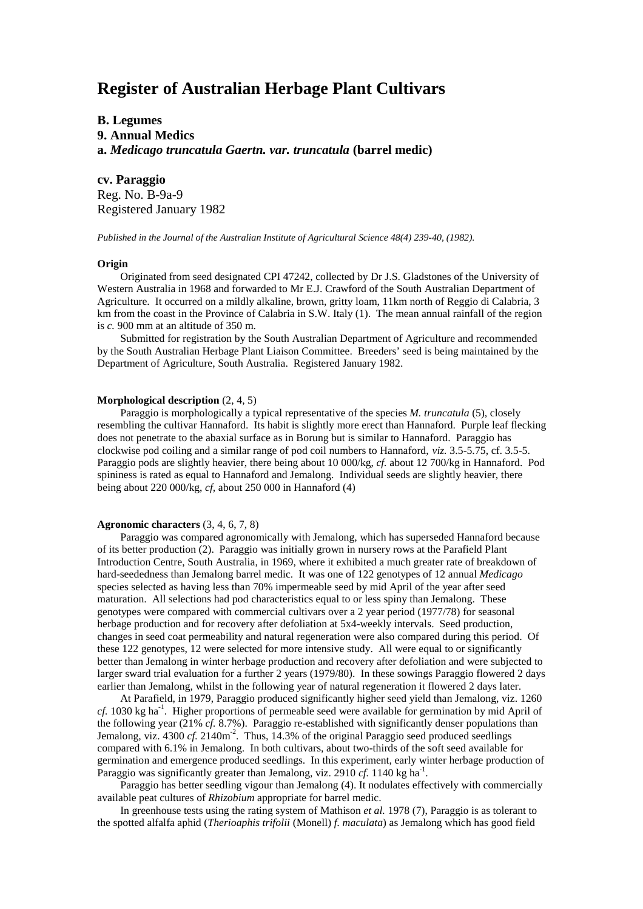# **Register of Australian Herbage Plant Cultivars**

# **B. Legumes 9. Annual Medics a.** *Medicago truncatula Gaertn. var. truncatula* **(barrel medic)**

**cv. Paraggio** Reg. No. B-9a-9 Registered January 1982

*Published in the Journal of the Australian Institute of Agricultural Science 48(4) 239-40, (1982).*

### **Origin**

Originated from seed designated CPI 47242, collected by Dr J.S. Gladstones of the University of Western Australia in 1968 and forwarded to Mr E.J. Crawford of the South Australian Department of Agriculture. It occurred on a mildly alkaline, brown, gritty loam, 11km north of Reggio di Calabria, 3 km from the coast in the Province of Calabria in S.W. Italy (1). The mean annual rainfall of the region is *c.* 900 mm at an altitude of 350 m.

Submitted for registration by the South Australian Department of Agriculture and recommended by the South Australian Herbage Plant Liaison Committee. Breeders' seed is being maintained by the Department of Agriculture, South Australia. Registered January 1982.

# **Morphological description** (2, 4, 5)

Paraggio is morphologically a typical representative of the species *M. truncatula* (5), closely resembling the cultivar Hannaford. Its habit is slightly more erect than Hannaford. Purple leaf flecking does not penetrate to the abaxial surface as in Borung but is similar to Hannaford. Paraggio has clockwise pod coiling and a similar range of pod coil numbers to Hannaford, *viz.* 3.5-5.75, cf. 3.5-5. Paraggio pods are slightly heavier, there being about 10 000/kg, *cf.* about 12 700/kg in Hannaford. Pod spininess is rated as equal to Hannaford and Jemalong. Individual seeds are slightly heavier, there being about 220 000/kg, *cf,* about 250 000 in Hannaford (4)

## **Agronomic characters** (3, 4, 6, 7, 8)

Paraggio was compared agronomically with Jemalong, which has superseded Hannaford because of its better production (2). Paraggio was initially grown in nursery rows at the Parafield Plant Introduction Centre, South Australia, in 1969, where it exhibited a much greater rate of breakdown of hard-seededness than Jemalong barrel medic. It was one of 122 genotypes of 12 annual *Medicago* species selected as having less than 70% impermeable seed by mid April of the year after seed maturation. All selections had pod characteristics equal to or less spiny than Jemalong. These genotypes were compared with commercial cultivars over a 2 year period (1977/78) for seasonal herbage production and for recovery after defoliation at 5x4-weekly intervals. Seed production, changes in seed coat permeability and natural regeneration were also compared during this period. Of these 122 genotypes, 12 were selected for more intensive study. All were equal to or significantly better than Jemalong in winter herbage production and recovery after defoliation and were subjected to larger sward trial evaluation for a further 2 years (1979/80). In these sowings Paraggio flowered 2 days earlier than Jemalong, whilst in the following year of natural regeneration it flowered 2 days later.

At Parafield, in 1979, Paraggio produced significantly higher seed yield than Jemalong, viz. 1260 *cf.* 1030 kg ha<sup>-1</sup>. Higher proportions of permeable seed were available for germination by mid April of the following year (21% *cf.* 8.7%). Paraggio re-established with significantly denser populations than Jemalong, viz.  $4300 \text{ cf. } 2140 \text{ m}^2$ . Thus, 14.3% of the original Paraggio seed produced seedlings compared with 6.1% in Jemalong. In both cultivars, about two-thirds of the soft seed available for germination and emergence produced seedlings. In this experiment, early winter herbage production of Paraggio was significantly greater than Jemalong, viz. 2910 *cf.* 1140 kg ha<sup>-1</sup>.

Paraggio has better seedling vigour than Jemalong (4). It nodulates effectively with commercially available peat cultures of *Rhizobium* appropriate for barrel medic.

In greenhouse tests using the rating system of Mathison *et al.* 1978 (7), Paraggio is as tolerant to the spotted alfalfa aphid (*Therioaphis trifolii* (Monell) *f. maculata*) as Jemalong which has good field